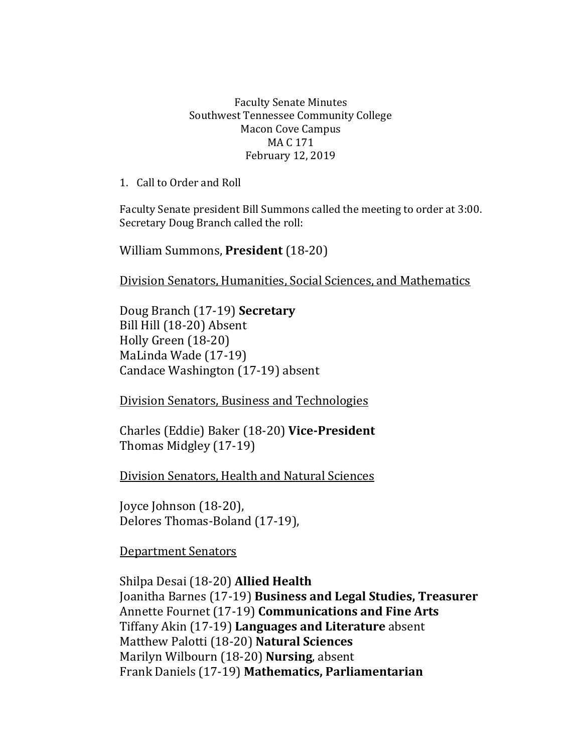## Faculty Senate Minutes Southwest Tennessee Community College Macon Cove Campus MA C 171 February 12, 2019

1. Call to Order and Roll

Faculty Senate president Bill Summons called the meeting to order at 3:00. Secretary Doug Branch called the roll:

William Summons, **President** (18-20)

Division Senators, Humanities, Social Sciences, and Mathematics

Doug Branch (17-19) **Secretary** Bill Hill (18-20) Absent Holly Green (18-20) MaLinda Wade (17-19) Candace Washington (17-19) absent

Division Senators, Business and Technologies

Charles (Eddie) Baker (18-20) **Vice-President** Thomas Midgley (17-19)

Division Senators, Health and Natural Sciences

Joyce Johnson (18-20), Delores Thomas-Boland (17-19),

Department Senators

Shilpa Desai (18-20) **Allied Health** Joanitha Barnes (17-19) **Business and Legal Studies, Treasurer**  Annette Fournet (17-19) **Communications and Fine Arts** Tiffany Akin (17-19) **Languages and Literature** absent Matthew Palotti (18-20) **Natural Sciences** Marilyn Wilbourn (18-20) **Nursing**, absent Frank Daniels (17-19) **Mathematics, Parliamentarian**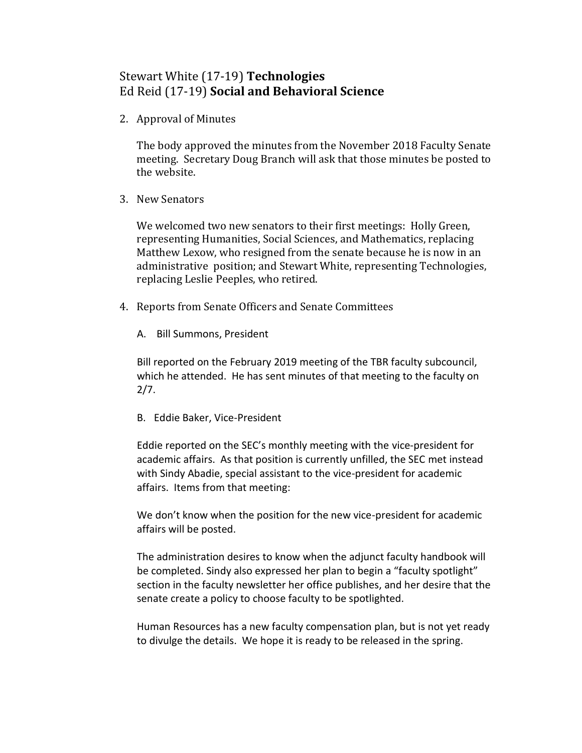## Stewart White (17-19) **Technologies** Ed Reid (17-19) **Social and Behavioral Science**

2. Approval of Minutes

The body approved the minutes from the November 2018 Faculty Senate meeting. Secretary Doug Branch will ask that those minutes be posted to the website.

3. New Senators

We welcomed two new senators to their first meetings: Holly Green, representing Humanities, Social Sciences, and Mathematics, replacing Matthew Lexow, who resigned from the senate because he is now in an administrative position; and Stewart White, representing Technologies, replacing Leslie Peeples, who retired.

- 4. Reports from Senate Officers and Senate Committees
	- A. Bill Summons, President

Bill reported on the February 2019 meeting of the TBR faculty subcouncil, which he attended. He has sent minutes of that meeting to the faculty on  $2/7.$ 

B. Eddie Baker, Vice-President

Eddie reported on the SEC's monthly meeting with the vice-president for academic affairs. As that position is currently unfilled, the SEC met instead with Sindy Abadie, special assistant to the vice-president for academic affairs. Items from that meeting:

We don't know when the position for the new vice-president for academic affairs will be posted.

The administration desires to know when the adjunct faculty handbook will be completed. Sindy also expressed her plan to begin a "faculty spotlight" section in the faculty newsletter her office publishes, and her desire that the senate create a policy to choose faculty to be spotlighted.

Human Resources has a new faculty compensation plan, but is not yet ready to divulge the details. We hope it is ready to be released in the spring.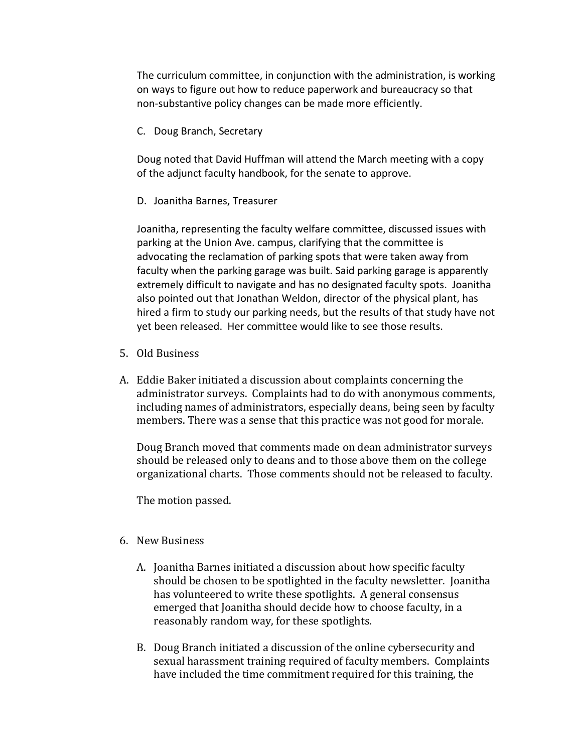The curriculum committee, in conjunction with the administration, is working on ways to figure out how to reduce paperwork and bureaucracy so that non-substantive policy changes can be made more efficiently.

C. Doug Branch, Secretary

Doug noted that David Huffman will attend the March meeting with a copy of the adjunct faculty handbook, for the senate to approve.

D. Joanitha Barnes, Treasurer

Joanitha, representing the faculty welfare committee, discussed issues with parking at the Union Ave. campus, clarifying that the committee is advocating the reclamation of parking spots that were taken away from faculty when the parking garage was built. Said parking garage is apparently extremely difficult to navigate and has no designated faculty spots. Joanitha also pointed out that Jonathan Weldon, director of the physical plant, has hired a firm to study our parking needs, but the results of that study have not yet been released. Her committee would like to see those results.

- 5. Old Business
- A. Eddie Baker initiated a discussion about complaints concerning the administrator surveys. Complaints had to do with anonymous comments, including names of administrators, especially deans, being seen by faculty members. There was a sense that this practice was not good for morale.

Doug Branch moved that comments made on dean administrator surveys should be released only to deans and to those above them on the college organizational charts. Those comments should not be released to faculty.

The motion passed.

## 6. New Business

- A. Joanitha Barnes initiated a discussion about how specific faculty should be chosen to be spotlighted in the faculty newsletter. Joanitha has volunteered to write these spotlights. A general consensus emerged that Joanitha should decide how to choose faculty, in a reasonably random way, for these spotlights.
- B. Doug Branch initiated a discussion of the online cybersecurity and sexual harassment training required of faculty members. Complaints have included the time commitment required for this training, the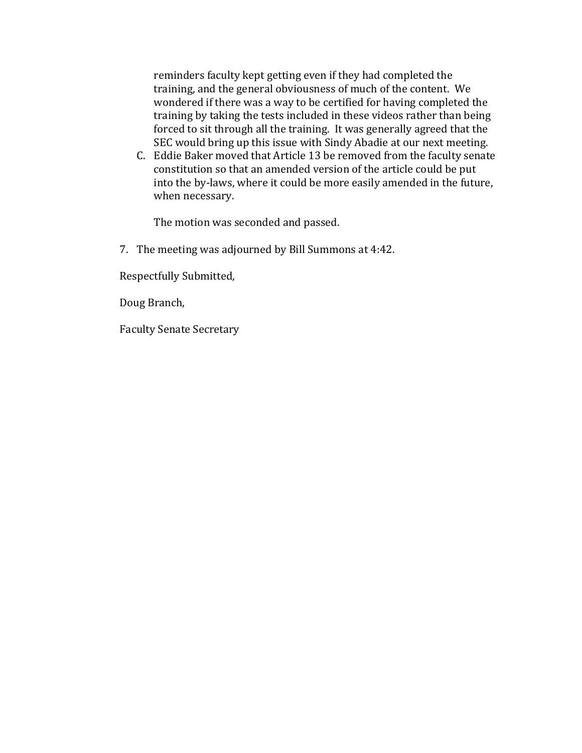reminders faculty kept getting even if they had completed the training, and the general obviousness of much of the content. We wondered if there was a way to be certified for having completed the training by taking the tests included in these videos rather than being forced to sit through all the training. It was generally agreed that the SEC would bring up this issue with Sindy Abadie at our next meeting.

C. Eddie Baker moved that Article 13 be removed from the faculty senate constitution so that an amended version of the article could be put into the by-laws, where it could be more easily amended in the future, when necessary.

The motion was seconded and passed.

7. The meeting was adjourned by Bill Summons at 4:42.

Respectfully Submitted,

Doug Branch,

Faculty Senate Secretary